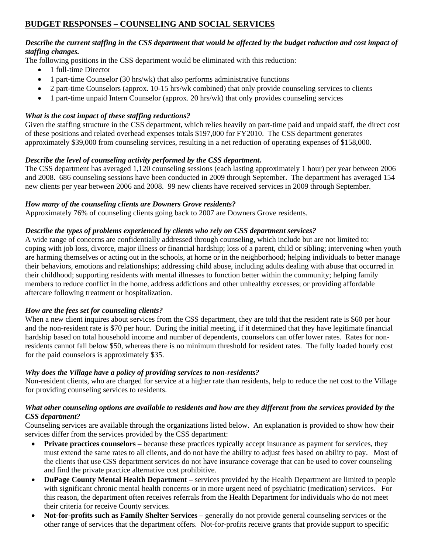# **BUDGET RESPONSES – COUNSELING AND SOCIAL SERVICES**

## *Describe the current staffing in the CSS department that would be affected by the budget reduction and cost impact of staffing changes.*

The following positions in the CSS department would be eliminated with this reduction:

- 1 full-time Director
- 1 part-time Counselor (30 hrs/wk) that also performs administrative functions
- 2 part-time Counselors (approx. 10-15 hrs/wk combined) that only provide counseling services to clients
- 1 part-time unpaid Intern Counselor (approx. 20 hrs/wk) that only provides counseling services

## *What is the cost impact of these staffing reductions?*

Given the staffing structure in the CSS department, which relies heavily on part-time paid and unpaid staff, the direct cost of these positions and related overhead expenses totals \$197,000 for FY2010. The CSS department generates approximately \$39,000 from counseling services, resulting in a net reduction of operating expenses of \$158,000.

## *Describe the level of counseling activity performed by the CSS department.*

The CSS department has averaged 1,120 counseling sessions (each lasting approximately 1 hour) per year between 2006 and 2008. 686 counseling sessions have been conducted in 2009 through September. The department has averaged 154 new clients per year between 2006 and 2008. 99 new clients have received services in 2009 through September.

#### *How many of the counseling clients are Downers Grove residents?*

Approximately 76% of counseling clients going back to 2007 are Downers Grove residents.

#### *Describe the types of problems experienced by clients who rely on CSS department services?*

A wide range of concerns are confidentially addressed through counseling, which include but are not limited to: coping with job loss, divorce, major illness or financial hardship; loss of a parent, child or sibling; intervening when youth are harming themselves or acting out in the schools, at home or in the neighborhood; helping individuals to better manage their behaviors, emotions and relationships; addressing child abuse, including adults dealing with abuse that occurred in their childhood; supporting residents with mental illnesses to function better within the community; helping family members to reduce conflict in the home, address addictions and other unhealthy excesses; or providing affordable aftercare following treatment or hospitalization.

## *How are the fees set for counseling clients?*

When a new client inquires about services from the CSS department, they are told that the resident rate is \$60 per hour and the non-resident rate is \$70 per hour. During the initial meeting, if it determined that they have legitimate financial hardship based on total household income and number of dependents, counselors can offer lower rates. Rates for nonresidents cannot fall below \$50, whereas there is no minimum threshold for resident rates. The fully loaded hourly cost for the paid counselors is approximately \$35.

## *Why does the Village have a policy of providing services to non-residents?*

Non-resident clients, who are charged for service at a higher rate than residents, help to reduce the net cost to the Village for providing counseling services to residents.

#### *What other counseling options are available to residents and how are they different from the services provided by the CSS department?*

Counseling services are available through the organizations listed below. An explanation is provided to show how their services differ from the services provided by the CSS department:

- **Private practices counselors** because these practices typically accept insurance as payment for services, they must extend the same rates to all clients, and do not have the ability to adjust fees based on ability to pay. Most of the clients that use CSS department services do not have insurance coverage that can be used to cover counseling and find the private practice alternative cost prohibitive.
- **DuPage County Mental Health Department** services provided by the Health Department are limited to people with significant chronic mental health concerns or in more urgent need of psychiatric (medication) services. For this reason, the department often receives referrals from the Health Department for individuals who do not meet their criteria for receive County services.
- **Not-for-profits such as Family Shelter Services** generally do not provide general counseling services or the other range of services that the department offers. Not-for-profits receive grants that provide support to specific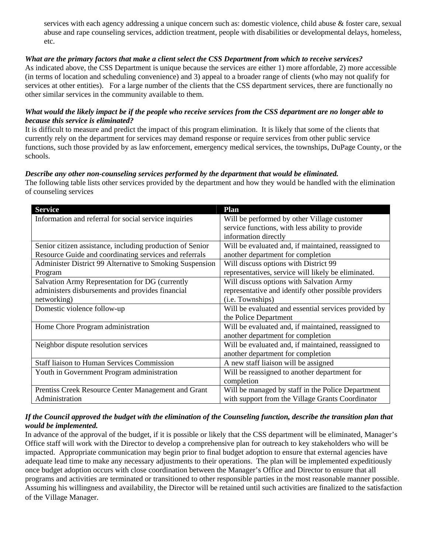services with each agency addressing a unique concern such as: domestic violence, child abuse & foster care, sexual abuse and rape counseling services, addiction treatment, people with disabilities or developmental delays, homeless, etc.

## *What are the primary factors that make a client select the CSS Department from which to receive services?*

As indicated above, the CSS Department is unique because the services are either 1) more affordable, 2) more accessible (in terms of location and scheduling convenience) and 3) appeal to a broader range of clients (who may not qualify for services at other entities). For a large number of the clients that the CSS department services, there are functionally no other similar services in the community available to them.

#### *What would the likely impact be if the people who receive services from the CSS department are no longer able to because this service is eliminated?*

It is difficult to measure and predict the impact of this program elimination. It is likely that some of the clients that currently rely on the department for services may demand response or require services from other public service functions, such those provided by as law enforcement, emergency medical services, the townships, DuPage County, or the schools.

#### *Describe any other non-counseling services performed by the department that would be eliminated.*

The following table lists other services provided by the department and how they would be handled with the elimination of counseling services

| <b>Service</b>                                            | Plan                                                 |
|-----------------------------------------------------------|------------------------------------------------------|
| Information and referral for social service inquiries     | Will be performed by other Village customer          |
|                                                           | service functions, with less ability to provide      |
|                                                           | information directly                                 |
| Senior citizen assistance, including production of Senior | Will be evaluated and, if maintained, reassigned to  |
| Resource Guide and coordinating services and referrals    | another department for completion                    |
| Administer District 99 Alternative to Smoking Suspension  | Will discuss options with District 99                |
| Program                                                   | representatives, service will likely be eliminated.  |
| Salvation Army Representation for DG (currently           | Will discuss options with Salvation Army             |
| administers disbursements and provides financial          | representative and identify other possible providers |
| networking)                                               | (i.e. Townships)                                     |
| Domestic violence follow-up                               | Will be evaluated and essential services provided by |
|                                                           | the Police Department                                |
| Home Chore Program administration                         | Will be evaluated and, if maintained, reassigned to  |
|                                                           | another department for completion                    |
| Neighbor dispute resolution services                      | Will be evaluated and, if maintained, reassigned to  |
|                                                           | another department for completion                    |
| <b>Staff liaison to Human Services Commission</b>         | A new staff liaison will be assigned                 |
| Youth in Government Program administration                | Will be reassigned to another department for         |
|                                                           | completion                                           |
| Prentiss Creek Resource Center Management and Grant       | Will be managed by staff in the Police Department    |
| Administration                                            | with support from the Village Grants Coordinator     |

## *If the Council approved the budget with the elimination of the Counseling function, describe the transition plan that would be implemented.*

In advance of the approval of the budget, if it is possible or likely that the CSS department will be eliminated, Manager's Office staff will work with the Director to develop a comprehensive plan for outreach to key stakeholders who will be impacted. Appropriate communication may begin prior to final budget adoption to ensure that external agencies have adequate lead time to make any necessary adjustments to their operations. The plan will be implemented expeditiously once budget adoption occurs with close coordination between the Manager's Office and Director to ensure that all programs and activities are terminated or transitioned to other responsible parties in the most reasonable manner possible. Assuming his willingness and availability, the Director will be retained until such activities are finalized to the satisfaction of the Village Manager.